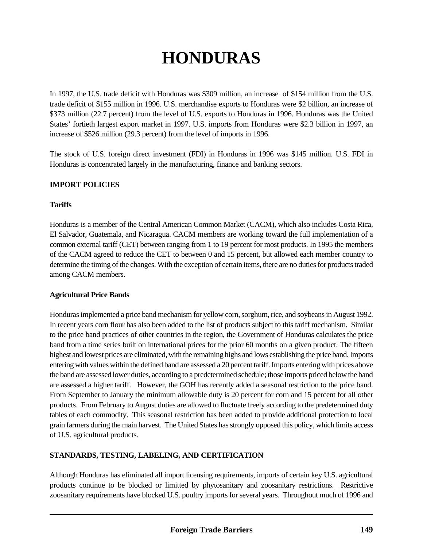# **HONDURAS**

In 1997, the U.S. trade deficit with Honduras was \$309 million, an increase of \$154 million from the U.S. trade deficit of \$155 million in 1996. U.S. merchandise exports to Honduras were \$2 billion, an increase of \$373 million (22.7 percent) from the level of U.S. exports to Honduras in 1996. Honduras was the United States' fortieth largest export market in 1997. U.S. imports from Honduras were \$2.3 billion in 1997, an increase of \$526 million (29.3 percent) from the level of imports in 1996.

The stock of U.S. foreign direct investment (FDI) in Honduras in 1996 was \$145 million. U.S. FDI in Honduras is concentrated largely in the manufacturing, finance and banking sectors.

### **IMPORT POLICIES**

#### **Tariffs**

Honduras is a member of the Central American Common Market (CACM), which also includes Costa Rica, El Salvador, Guatemala, and Nicaragua. CACM members are working toward the full implementation of a common external tariff (CET) between ranging from 1 to 19 percent for most products. In 1995 the members of the CACM agreed to reduce the CET to between 0 and 15 percent, but allowed each member country to determine the timing of the changes. With the exception of certain items, there are no duties for products traded among CACM members.

#### **Agricultural Price Bands**

Honduras implemented a price band mechanism for yellow corn, sorghum, rice, and soybeans in August 1992. In recent years corn flour has also been added to the list of products subject to this tariff mechanism. Similar to the price band practices of other countries in the region, the Government of Honduras calculates the price band from a time series built on international prices for the prior 60 months on a given product. The fifteen highest and lowest prices are eliminated, with the remaining highs and lows establishing the price band. Imports entering with values within the defined band are assessed a 20 percent tariff. Imports entering with prices above the band are assessed lower duties, according to a predetermined schedule; those imports priced below the band are assessed a higher tariff. However, the GOH has recently added a seasonal restriction to the price band. From September to January the minimum allowable duty is 20 percent for corn and 15 percent for all other products. From February to August duties are allowed to fluctuate freely according to the predetermined duty tables of each commodity. This seasonal restriction has been added to provide additional protection to local grain farmers during the main harvest. The United States has strongly opposed this policy, which limits access of U.S. agricultural products.

### **STANDARDS, TESTING, LABELING, AND CERTIFICATION**

Although Honduras has eliminated all import licensing requirements, imports of certain key U.S. agricultural products continue to be blocked or limitted by phytosanitary and zoosanitary restrictions. Restrictive zoosanitary requirements have blocked U.S. poultry imports for several years. Throughout much of 1996 and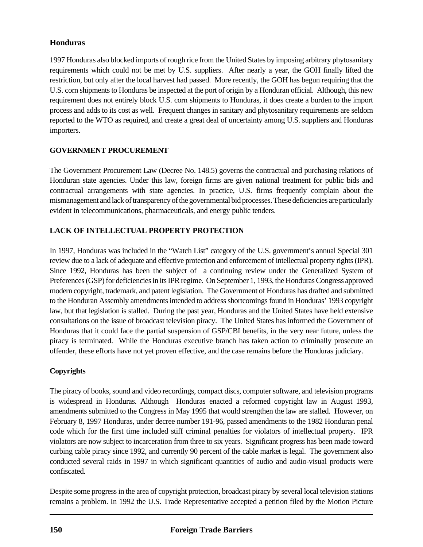# **Honduras**

1997 Honduras also blocked imports of rough rice from the United States by imposing arbitrary phytosanitary requirements which could not be met by U.S. suppliers. After nearly a year, the GOH finally lifted the restriction, but only after the local harvest had passed. More recently, the GOH has begun requiring that the U.S. corn shipments to Honduras be inspected at the port of origin by a Honduran official. Although, this new requirement does not entirely block U.S. corn shipments to Honduras, it does create a burden to the import process and adds to its cost as well. Frequent changes in sanitary and phytosanitary requirements are seldom reported to the WTO as required, and create a great deal of uncertainty among U.S. suppliers and Honduras importers.

# **GOVERNMENT PROCUREMENT**

The Government Procurement Law (Decree No. 148.5) governs the contractual and purchasing relations of Honduran state agencies. Under this law, foreign firms are given national treatment for public bids and contractual arrangements with state agencies. In practice, U.S. firms frequently complain about the mismanagement and lack of transparency of the governmental bid processes. These deficiencies are particularly evident in telecommunications, pharmaceuticals, and energy public tenders.

# **LACK OF INTELLECTUAL PROPERTY PROTECTION**

In 1997, Honduras was included in the "Watch List" category of the U.S. government's annual Special 301 review due to a lack of adequate and effective protection and enforcement of intellectual property rights (IPR). Since 1992, Honduras has been the subject of a continuing review under the Generalized System of Preferences (GSP) for deficiencies in its IPR regime. On September 1, 1993, the Honduras Congress approved modern copyright, trademark, and patent legislation. The Government of Honduras has drafted and submitted to the Honduran Assembly amendments intended to address shortcomings found in Honduras' 1993 copyright law, but that legislation is stalled. During the past year, Honduras and the United States have held extensive consultations on the issue of broadcast television piracy. The United States has informed the Government of Honduras that it could face the partial suspension of GSP/CBI benefits, in the very near future, unless the piracy is terminated. While the Honduras executive branch has taken action to criminally prosecute an offender, these efforts have not yet proven effective, and the case remains before the Honduras judiciary.

### **Copyrights**

The piracy of books, sound and video recordings, compact discs, computer software, and television programs is widespread in Honduras. AlthoughHonduras enacted a reformed copyright law in August 1993, amendments submitted to the Congress in May 1995 that would strengthen the law are stalled. However, on February 8, 1997 Honduras, under decree number 191-96, passed amendments to the 1982 Honduran penal code which for the first time included stiff criminal penalties for violators of intellectual property. IPR violators are now subject to incarceration from three to six years. Significant progress has been made toward curbing cable piracy since 1992, and currently 90 percent of the cable market is legal. The government also conducted several raids in 1997 in which significant quantities of audio and audio-visual products were confiscated.

Despite some progress in the area of copyright protection, broadcast piracy by several local television stations remains a problem. In 1992 the U.S. Trade Representative accepted a petition filed by the Motion Picture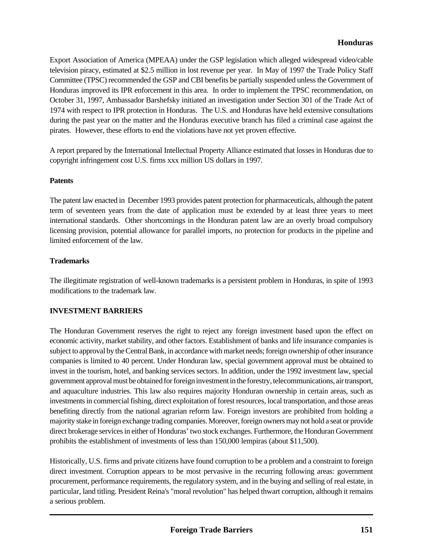### **Honduras**

Export Association of America (MPEAA) under the GSP legislation which alleged widespread video/cable television piracy, estimated at \$2.5 million in lost revenue per year. In May of 1997 the Trade Policy Staff Committee (TPSC) recommended the GSP and CBI benefits be partially suspended unless the Government of Honduras improved its IPR enforcement in this area. In order to implement the TPSC recommendation, on October 31, 1997, Ambassador Barshefsky initiated an investigation under Section 301 of the Trade Act of 1974 with respect to IPR protection in Honduras. The U.S. and Honduras have held extensive consultations during the past year on the matter and the Honduras executive branch has filed a criminal case against the pirates. However, these efforts to end the violations have not yet proven effective.

A report prepared by the International Intellectual Property Alliance estimated that losses in Honduras due to copyright infringement cost U.S. firms xxx million US dollars in 1997.

#### **Patents**

The patent law enacted in December 1993 provides patent protection for pharmaceuticals, although the patent term of seventeen years from the date of application must be extended by at least three years to meet international standards. Other shortcomings in the Honduran patent law are an overly broad compulsory licensing provision, potential allowance for parallel imports, no protection for products in the pipeline and limited enforcement of the law.

#### **Trademarks**

The illegitimate registration of well-known trademarks is a persistent problem in Honduras, in spite of 1993 modifications to the trademark law.

#### **INVESTMENT BARRIERS**

The Honduran Government reserves the right to reject any foreign investment based upon the effect on economic activity, market stability, and other factors. Establishment of banks and life insurance companies is subject to approval by the Central Bank, in accordance with market needs; foreign ownership of other insurance companies is limited to 40 percent. Under Honduran law, special government approval must be obtained to invest in the tourism, hotel, and banking services sectors. In addition, under the 1992 investment law, special government approval must be obtained for foreign investment in the forestry, telecommunications, air transport, and aquaculture industries. This law also requires majority Honduran ownership in certain areas, such as investments in commercial fishing, direct exploitation of forest resources, local transportation, and those areas benefiting directly from the national agrarian reform law. Foreign investors are prohibited from holding a majority stake in foreign exchange trading companies. Moreover, foreign owners may not hold a seat or provide direct brokerage services in either of Honduras' two stock exchanges. Furthermore, the Honduran Government prohibits the establishment of investments of less than 150,000 lempiras (about \$11,500).

Historically, U.S. firms and private citizens have found corruption to be a problem and a constraint to foreign direct investment. Corruption appears to be most pervasive in the recurring following areas: government procurement, performance requirements, the regulatory system, and in the buying and selling of real estate, in particular, land titling. President Reina's "moral revolution" has helped thwart corruption, although it remains a serious problem.